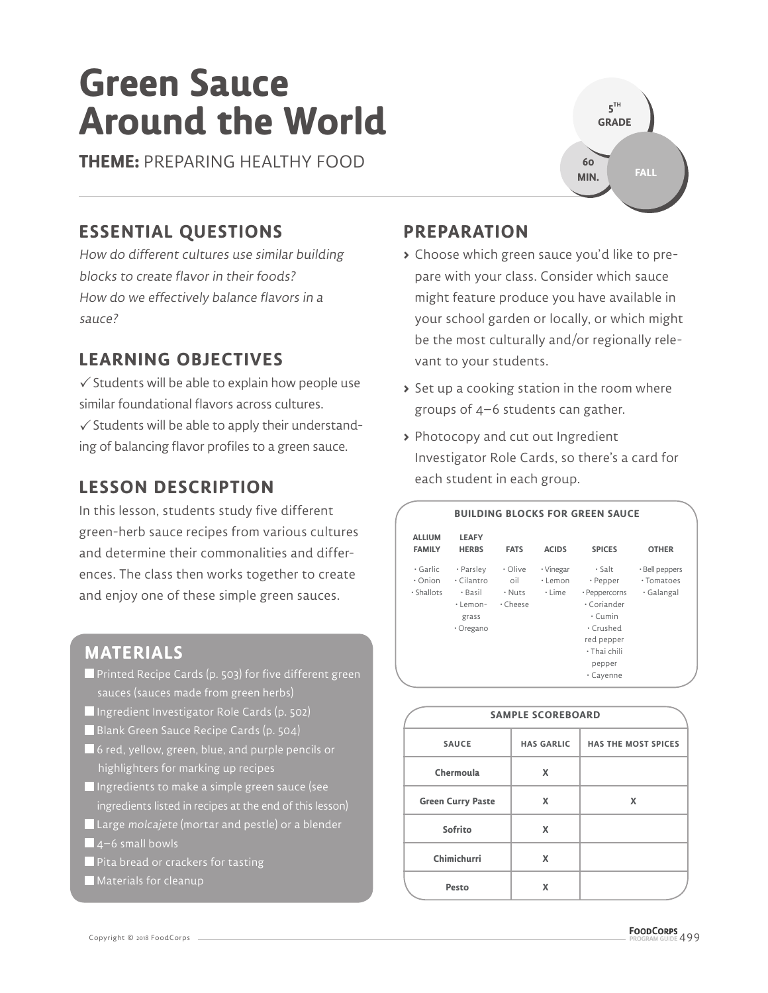# **Green Sauce Around the World**

**THEME:** PREPARING HEALTHY FOOD

### **ESSENTIAL QUESTIONS**

How do different cultures use similar building blocks to create flavor in their foods? How do we effectively balance flavors in a sauce?

### **LEARNING OBJECTIVES**

 $\checkmark$  Students will be able to explain how people use similar foundational flavors across cultures.  $\checkmark$  Students will be able to apply their understanding of balancing flavor profiles to a green sauce.

#### **LESSON DESCRIPTION**

In this lesson, students study five different green-herb sauce recipes from various cultures and determine their commonalities and differences. The class then works together to create and enjoy one of these simple green sauces.



- **Printed Recipe Cards (p. 503) for five different green** sauces (sauces made from green herbs)
- Ingredient Investigator Role Cards (p. 502)
- Blank Green Sauce Recipe Cards (p. 504)
- 6 red, yellow, green, blue, and purple pencils or highlighters for marking up recipes
- Ingredients to make a simple green sauce (see ingredients listed in recipes at the end of this lesson)
- Large molcajete (mortar and pestle) or a blender  $\blacksquare$  4–6 small bowls
- Pita bread or crackers for tasting
- **Materials for cleanup**

#### **PREPARATION**

- **>** Choose which green sauce you'd like to prepare with your class. Consider which sauce might feature produce you have available in your school garden or locally, or which might be the most culturally and/or regionally relevant to your students.
- **>** Set up a cooking station in the room where groups of 4–6 students can gather.
- **>** Photocopy and cut out Ingredient Investigator Role Cards, so there's a card for each student in each group.



|                          | <b>SAMPLE SCOREBOARD</b>  |                            |
|--------------------------|---------------------------|----------------------------|
| <b>SAUCE</b>             | <b>HAS GARLIC</b>         | <b>HAS THE MOST SPICES</b> |
| Chermoula                | X                         |                            |
| <b>Green Curry Paste</b> | $\boldsymbol{\mathsf{x}}$ | X                          |
| Sofrito                  | X                         |                            |
| Chimichurri              | X                         |                            |
| Pesto                    | x                         |                            |

**5 TH GRADE 60 MIN.**

**FALL**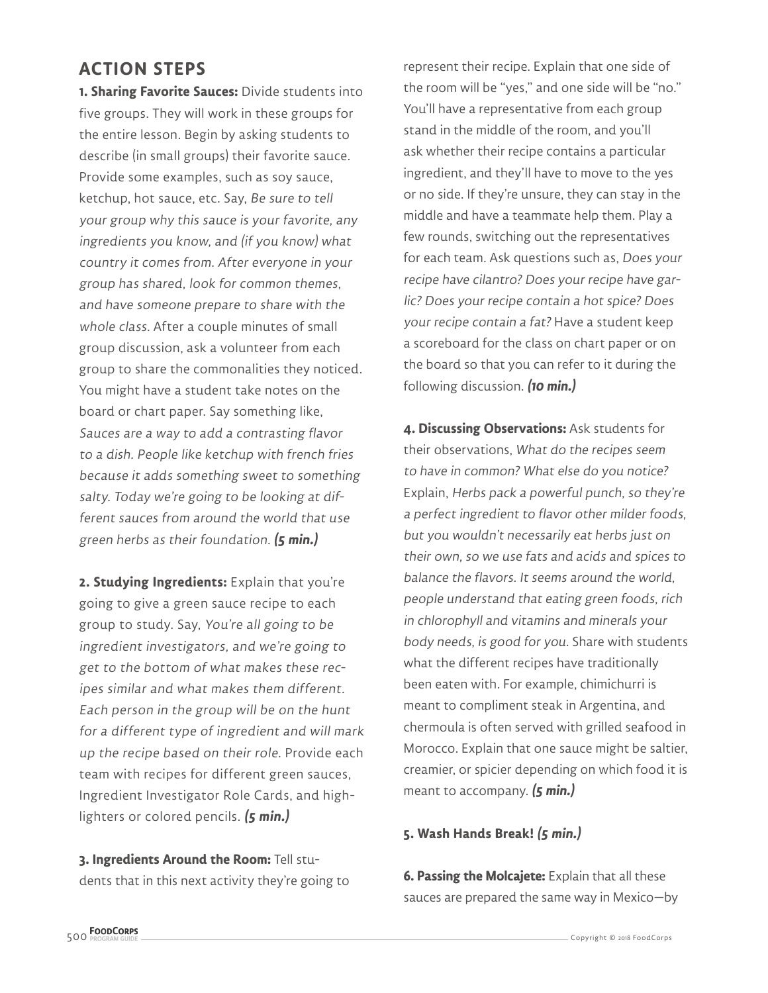#### **ACTION STEPS**

**1. Sharing Favorite Sauces:** Divide students into five groups. They will work in these groups for the entire lesson. Begin by asking students to describe (in small groups) their favorite sauce. Provide some examples, such as soy sauce, ketchup, hot sauce, etc. Say, Be sure to tell your group why this sauce is your favorite, any ingredients you know, and (if you know) what country it comes from. After everyone in your group has shared, look for common themes, and have someone prepare to share with the whole class. After a couple minutes of small group discussion, ask a volunteer from each group to share the commonalities they noticed. You might have a student take notes on the board or chart paper. Say something like, Sauces are a way to add a contrasting flavor to a dish. People like ketchup with french fries because it adds something sweet to something salty. Today we're going to be looking at different sauces from around the world that use green herbs as their foundation. **(5 min.)**

**2. Studying Ingredients:** Explain that you're going to give a green sauce recipe to each group to study. Say, You're all going to be ingredient investigators, and we're going to get to the bottom of what makes these recipes similar and what makes them different. Each person in the group will be on the hunt for a different type of ingredient and will mark up the recipe based on their role. Provide each team with recipes for different green sauces, Ingredient Investigator Role Cards, and highlighters or colored pencils. **(5 min.)**

**3. Ingredients Around the Room:** Tell students that in this next activity they're going to

represent their recipe. Explain that one side of the room will be "yes," and one side will be "no." You'll have a representative from each group stand in the middle of the room, and you'll ask whether their recipe contains a particular ingredient, and they'll have to move to the yes or no side. If they're unsure, they can stay in the middle and have a teammate help them. Play a few rounds, switching out the representatives for each team. Ask questions such as, Does your recipe have cilantro? Does your recipe have garlic? Does your recipe contain a hot spice? Does your recipe contain a fat? Have a student keep a scoreboard for the class on chart paper or on the board so that you can refer to it during the following discussion. **(10 min.)**

**4. Discussing Observations:** Ask students for their observations, What do the recipes seem to have in common? What else do you notice? Explain, Herbs pack a powerful punch, so they're a perfect ingredient to flavor other milder foods, but you wouldn't necessarily eat herbs just on their own, so we use fats and acids and spices to balance the flavors. It seems around the world, people understand that eating green foods, rich in chlorophyll and vitamins and minerals your body needs, is good for you. Share with students what the different recipes have traditionally been eaten with. For example, chimichurri is meant to compliment steak in Argentina, and chermoula is often served with grilled seafood in Morocco. Explain that one sauce might be saltier, creamier, or spicier depending on which food it is meant to accompany. **(5 min.)**

#### **5. Wash Hands Break! (5 min.)**

**6. Passing the Molcajete:** Explain that all these sauces are prepared the same way in Mexico—by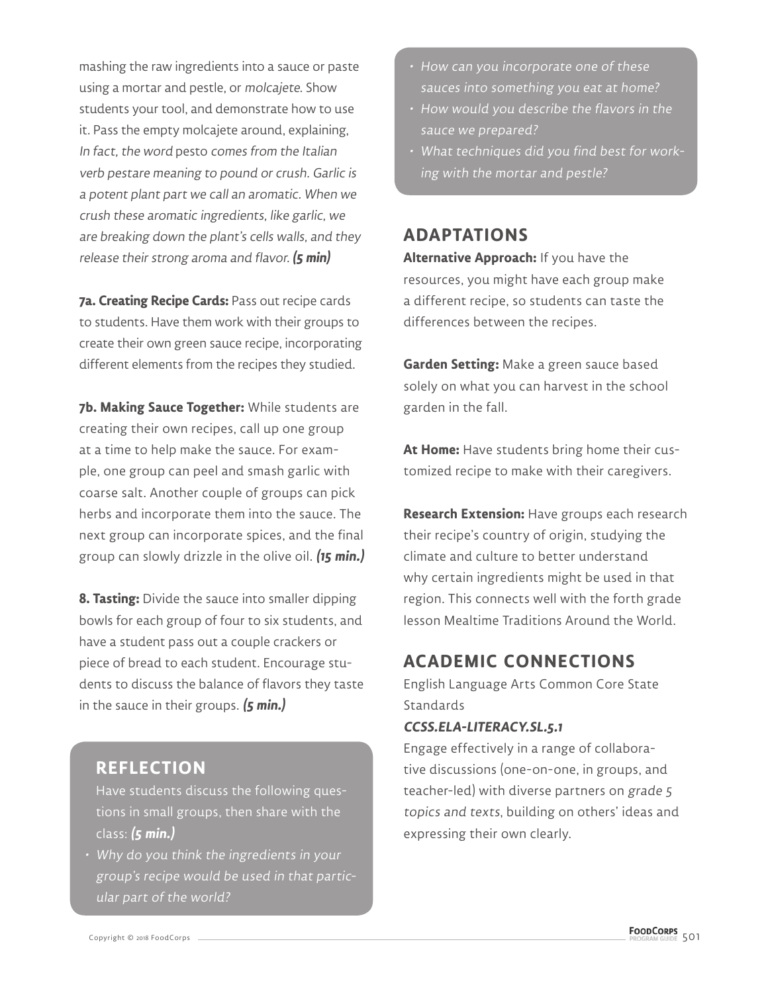mashing the raw ingredients into a sauce or paste using a mortar and pestle, or molcajete. Show students your tool, and demonstrate how to use it. Pass the empty molcajete around, explaining, In fact, the word pesto comes from the Italian verb pestare meaning to pound or crush. Garlic is a potent plant part we call an aromatic. When we crush these aromatic ingredients, like garlic, we are breaking down the plant's cells walls, and they release their strong aroma and flavor. **(5 min)**

**7a. Creating Recipe Cards:** Pass out recipe cards to students. Have them work with their groups to create their own green sauce recipe, incorporating different elements from the recipes they studied.

**7b. Making Sauce Together:** While students are creating their own recipes, call up one group at a time to help make the sauce. For example, one group can peel and smash garlic with coarse salt. Another couple of groups can pick herbs and incorporate them into the sauce. The next group can incorporate spices, and the final group can slowly drizzle in the olive oil. **(15 min.)**

**8. Tasting:** Divide the sauce into smaller dipping bowls for each group of four to six students, and have a student pass out a couple crackers or piece of bread to each student. Encourage students to discuss the balance of flavors they taste in the sauce in their groups. **(5 min.)**

#### **REFLECTION**

Have students discuss the following questions in small groups, then share with the class: **(5 min.)**

• Why do you think the ingredients in your group's recipe would be used in that particular part of the world?

- How can you incorporate one of these sauces into something you eat at home?
- How would you describe the flavors in the sauce we prepared?
- What techniques did you find best for working with the mortar and pestle?

#### **ADAPTATIONS**

**Alternative Approach:** If you have the resources, you might have each group make a different recipe, so students can taste the differences between the recipes.

**Garden Setting:** Make a green sauce based solely on what you can harvest in the school garden in the fall.

**At Home:** Have students bring home their customized recipe to make with their caregivers.

**Research Extension:** Have groups each research their recipe's country of origin, studying the climate and culture to better understand why certain ingredients might be used in that region. This connects well with the forth grade lesson Mealtime Traditions Around the World.

#### **ACADEMIC CONNECTIONS**

English Language Arts Common Core State **Standards** 

#### **CCSS.ELA-LITERACY.SL.5.1**

Engage effectively in a range of collaborative discussions (one-on-one, in groups, and teacher-led) with diverse partners on grade 5 topics and texts, building on others' ideas and expressing their own clearly.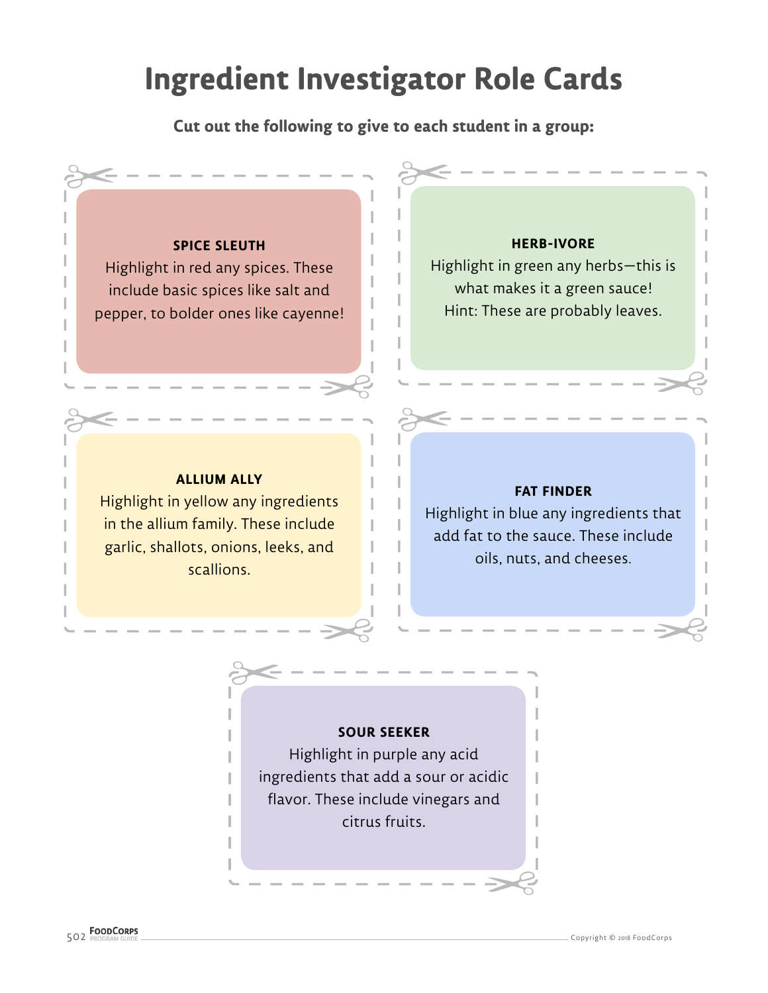## **Ingredient Investigator Role Cards**

**Cut out the following to give to each student in a group:** 

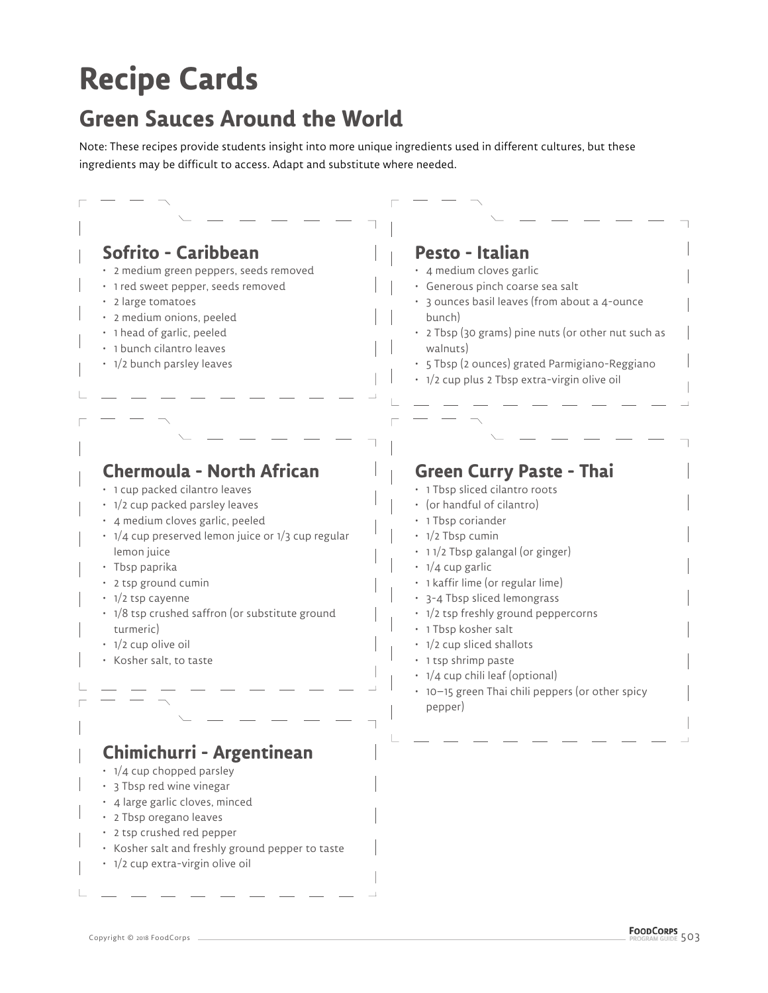# **Recipe Cards**

### **Green Sauces Around the World**

Note: These recipes provide students insight into more unique ingredients used in different cultures, but these ingredients may be difficult to access. Adapt and substitute where needed.

| Sofrito - Caribbean<br>· 2 medium green peppers, seeds removed<br>· 1 red sweet pepper, seeds removed<br>· 2 large tomatoes<br>· 2 medium onions, peeled<br>· 1 head of garlic, peeled<br>· 1 bunch cilantro leaves<br>• 1/2 bunch parsley leaves                                                                                                                                                           | Pesto - Italian<br>· 4 medium cloves garlic<br>· Generous pinch coarse sea salt<br>• 3 ounces basil leaves (from about a 4-ounce<br>bunch)<br>• 2 Tbsp (30 grams) pine nuts (or other nut such as<br>walnuts)<br>· 5 Tbsp (2 ounces) grated Parmigiano-Reggiano<br>• 1/2 cup plus 2 Tbsp extra-virgin olive oil                                                                                                                                                                                           |
|-------------------------------------------------------------------------------------------------------------------------------------------------------------------------------------------------------------------------------------------------------------------------------------------------------------------------------------------------------------------------------------------------------------|-----------------------------------------------------------------------------------------------------------------------------------------------------------------------------------------------------------------------------------------------------------------------------------------------------------------------------------------------------------------------------------------------------------------------------------------------------------------------------------------------------------|
|                                                                                                                                                                                                                                                                                                                                                                                                             |                                                                                                                                                                                                                                                                                                                                                                                                                                                                                                           |
| <b>Chermoula - North African</b><br>· 1 cup packed cilantro leaves<br>• 1/2 cup packed parsley leaves<br>· 4 medium cloves garlic, peeled<br>$\cdot$ 1/4 cup preserved lemon juice or 1/3 cup regular<br>lemon juice<br>· Tbsp paprika<br>• 2 tsp ground cumin<br>• 1/2 tsp cayenne<br>• 1/8 tsp crushed saffron (or substitute ground<br>turmeric)<br>$\cdot$ 1/2 cup olive oil<br>• Kosher salt, to taste | <b>Green Curry Paste - Thai</b><br>· 1 Tbsp sliced cilantro roots<br>· (or handful of cilantro)<br>• 1 Tbsp coriander<br>$\cdot$ 1/2 Tbsp cumin<br>• 11/2 Tbsp galangal (or ginger)<br>$\cdot$ 1/4 cup garlic<br>· 1 kaffir lime (or regular lime)<br>• 3-4 Tbsp sliced lemongrass<br>• 1/2 tsp freshly ground peppercorns<br>· 1 Tbsp kosher salt<br>• 1/2 cup sliced shallots<br>• 1 tsp shrimp paste<br>• 1/4 cup chili leaf (optional)<br>• 10-15 green Thai chili peppers (or other spicy<br>pepper) |
| Chimichurri - Argentinean<br>$\cdot$ 1/4 cup chopped parsley<br>• 3 Tbsp red wine vinegar<br>· 4 large garlic cloves, minced<br>• 2 Tbsp oregano leaves<br>• 2 tsp crushed red pepper<br>• Kosher salt and freshly ground pepper to taste<br>• 1/2 cup extra-virgin olive oil                                                                                                                               |                                                                                                                                                                                                                                                                                                                                                                                                                                                                                                           |